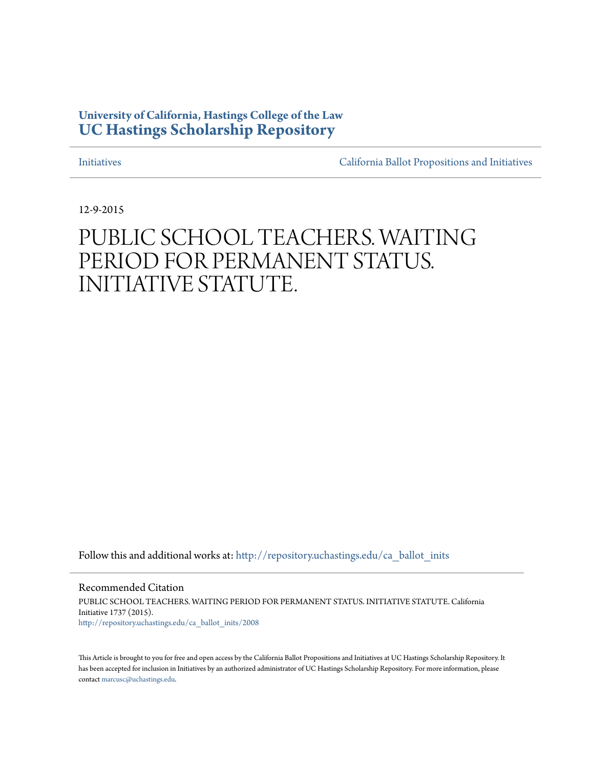## **University of California, Hastings College of the Law [UC Hastings Scholarship Repository](http://repository.uchastings.edu?utm_source=repository.uchastings.edu%2Fca_ballot_inits%2F2008&utm_medium=PDF&utm_campaign=PDFCoverPages)**

[Initiatives](http://repository.uchastings.edu/ca_ballot_inits?utm_source=repository.uchastings.edu%2Fca_ballot_inits%2F2008&utm_medium=PDF&utm_campaign=PDFCoverPages) [California Ballot Propositions and Initiatives](http://repository.uchastings.edu/ca_ballots?utm_source=repository.uchastings.edu%2Fca_ballot_inits%2F2008&utm_medium=PDF&utm_campaign=PDFCoverPages)

12-9-2015

# PUBLIC SCHOOL TEACHERS. WAITING PERIOD FOR PERMANENT STATUS. INITIATIVE STATUTE.

Follow this and additional works at: [http://repository.uchastings.edu/ca\\_ballot\\_inits](http://repository.uchastings.edu/ca_ballot_inits?utm_source=repository.uchastings.edu%2Fca_ballot_inits%2F2008&utm_medium=PDF&utm_campaign=PDFCoverPages)

Recommended Citation PUBLIC SCHOOL TEACHERS. WAITING PERIOD FOR PERMANENT STATUS. INITIATIVE STATUTE. California Initiative 1737 (2015). [http://repository.uchastings.edu/ca\\_ballot\\_inits/2008](http://repository.uchastings.edu/ca_ballot_inits/2008?utm_source=repository.uchastings.edu%2Fca_ballot_inits%2F2008&utm_medium=PDF&utm_campaign=PDFCoverPages)

This Article is brought to you for free and open access by the California Ballot Propositions and Initiatives at UC Hastings Scholarship Repository. It has been accepted for inclusion in Initiatives by an authorized administrator of UC Hastings Scholarship Repository. For more information, please contact [marcusc@uchastings.edu](mailto:marcusc@uchastings.edu).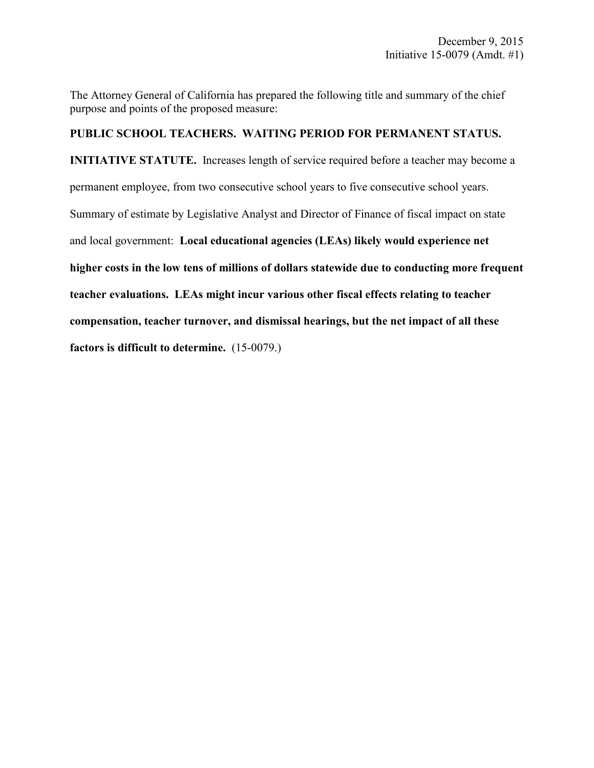The Attorney General of California has prepared the following title and summary of the chief purpose and points of the proposed measure:

#### **PUBLIC SCHOOL TEACHERS. WAITING PERIOD FOR PERMANENT STATUS.**

**INITIATIVE STATUTE.** Increases length of service required before a teacher may become a permanent employee, from two consecutive school years to five consecutive school years. Summary of estimate by Legislative Analyst and Director of Finance of fiscal impact on state and local government: **Local educational agencies (LEAs) likely would experience net higher costs in the low tens of millions of dollars statewide due to conducting more frequent teacher evaluations. LEAs might incur various other fiscal effects relating to teacher compensation, teacher turnover, and dismissal hearings, but the net impact of all these factors is difficult to determine.** (15-0079.)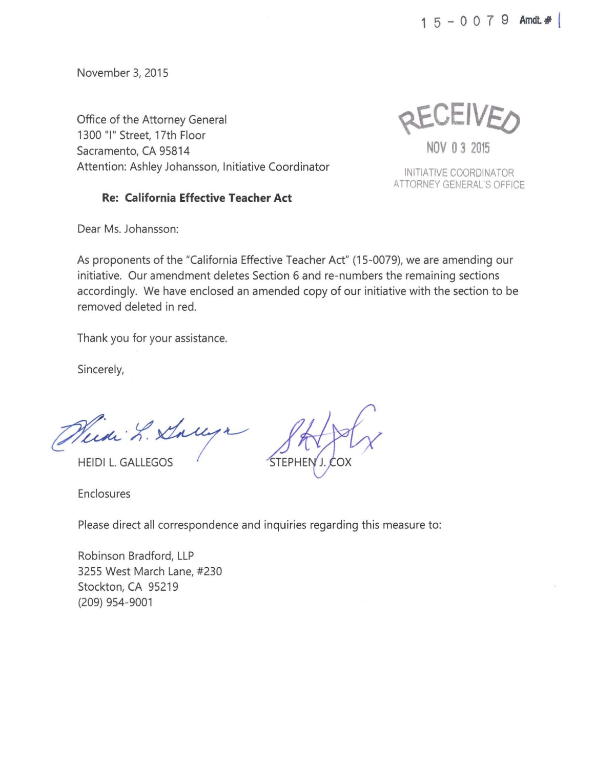1 5 - o o 7 9 **Arndt# 1** 

November 3, 2015

Office of the Attorney General 1300 "I" Street, 17th Floor Sacramento, CA 95814 Attention: Ashley Johansson, Initiative Coordinator

**Re: California Effective Teacher Act** 

REVEIVE ()

**NOV 0 3 2015** 

INITIATIVE COORDINATOR ATTORNEY GENERAL'S OFFICE

Dear Ms. Johansson:

As proponents of the "California Effective Teacher Act" (15-0079), we are amending our initiative. Our amendment deletes Section 6 and re-numbers the remaining sections accordingly. We have enclosed an amended copy of our initiative with the section to be removed deleted in red.

Thank you for your assistance.

Sincerely,

Weede L. Sallyr

**HEIDI L. GALLEGOS** 

Enclosures

Please direct all correspondence and inquiries regarding this measure to:

Robinson Bradford, LLP 3255 West March Lane, #230 Stockton, CA 95219 (209) 954-9001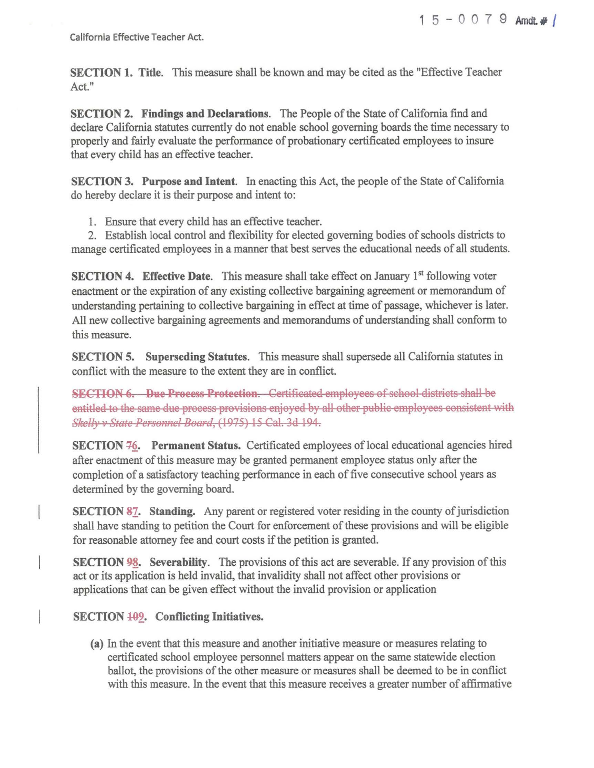California Effective Teacher Act.

**SECTION 1. Title.** This measure shall be known and may be cited as the "Effective Teacher Act."

**SECTION 2. Findings and Declarations.** The People of the State of California find and declare California statutes currently do not enable school governing boards the time necessary to properly and fairly evaluate the performance of probationary certificated employees to insure that every child has an effective teacher.

**SECTION 3. Purpose and Intent.** In enacting this Act, the people of the State of California do hereby declare it is their purpose and intent to:

1. Ensure that every child has an effective teacher.

2. Establish local control and flexibility for elected governing bodies of schools districts to manage certificated employees in a manner that best serves the educational needs of all students.

**SECTION 4. Effective Date.** This measure shall take effect on January 1<sup>st</sup> following voter enactment or the expiration of any existing collective bargaining agreement or memorandum of understanding pertaining to collective bargaining in effect at time of passage, whichever is later. All new collective bargaining agreements and memorandums of understanding shall conform to this measure.

**SECTION 5. Superseding Statutes.** This measure shall supersede all California statutes in conflict with the measure to the extent they are in conflict.

**SECTION 6. Due Process Protection.** Certificated employees of school districts shall be entitled to the same due process provisions enjoyed by all other public employees consistent with *Slrelly v State Persennel Beard,* (1975) 15 Gal. 3d 194.

**SECTION 76.** Permanent Status. Certificated employees of local educational agencies hired after enactment of this measure may be granted permanent employee status only after the completion of a satisfactory teaching performance in each of five consecutive school years as determined by the governing board.

**SECTION 87.** Standing. Any parent or registered voter residing in the county of jurisdiction shall have standing to petition the Court for enforcement of these provisions and will be eligible for reasonable attorney fee and court costs if the petition is granted.

**SECTION 98.** Severability. The provisions of this act are severable. If any provision of this act or its application is held invalid, that invalidity shall not affect other provisions or applications that can be given effect without the invalid provision or application

### **SECTION 409.** Conflicting Initiatives.

**(a)** In the event that this measure and another initiative measure or measures relating to certificated school employee personnel matters appear on the same statewide election ballot, the provisions of the other measure or measures shall be deemed to be in conflict with this measure. In the event that this measure receives a greater number of affirmative